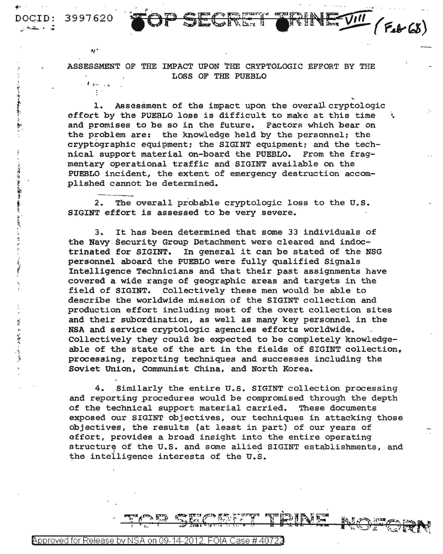ASSESSMENT OF THE IMPACT UPON THE CRYPTOLOGIC EFFORT BY THE LOSS OF THE PUEBLO  $\ell$  for  $\ell$  2

SECTION TIP

DOCID: 3997620

., .

~: .... *t* ,··

i. ÿ

è

"大学情况"的问题是"最后的

l J

 $\ddot{\cdot}$ 

·~ .~

l. Assessment of the impact upon the overall cryptologic offort by the PUEBLO loss is difficult to make at this time \ and promises to be so in the future. Factors which bear on the problem are: the knowledge held by the personnel; the cryptographic equipment: the SIGINT equipment: and the technical support material on-board the PUEBLO. From the fragmentary operational traffic and SIGINT available on the PUEBLO incident, the extent of emergency destruction accomplished cannot be determined.

~.

 $(F_{e}b6)$ 

2. The overall probable cryptologic loss to the U.S. SIGINT effort is assessed to be very severe.

3. It has been determined that some 33 individuals of the Navy Security Group Detachment were cleared and indoc-<br>trinated for SIGINT. In general it can be stated of the N In general it can be stated of the NSG personnel aboard the PUEBLO were fully qualified Signals Intelligence Technicians and that their past assignments have covered a wide range of geographic areas and targets in the field of SIGINT. Collectively these men would be able to describe the worldwide mission of the SIGINT collection and production effort including most of the overt collection sites and their subordination, as well as many key personnel in the NSA and service cryptologic agencies efforts worldwide. Collectively they could be expected to be completely knowledgeable of the state of the art in the fields of SIGINT collection, processing, reporting techniques and successes including the Soviet Union. Communist China, and North Korea.

4. Similarly the entire U.S. SIGINT collection processing and reporting procedures would be compromised through the depth of the technical support material carried. These documents exposed our SIGINT objectives, our techniques in attacking those objectives, the results (at least in part) of our years of effort, provides a broad insight into the entire operating structure of the U.S. and some allied SIGINT establishments, and the intelligence interests of the U.S.

**SALES**